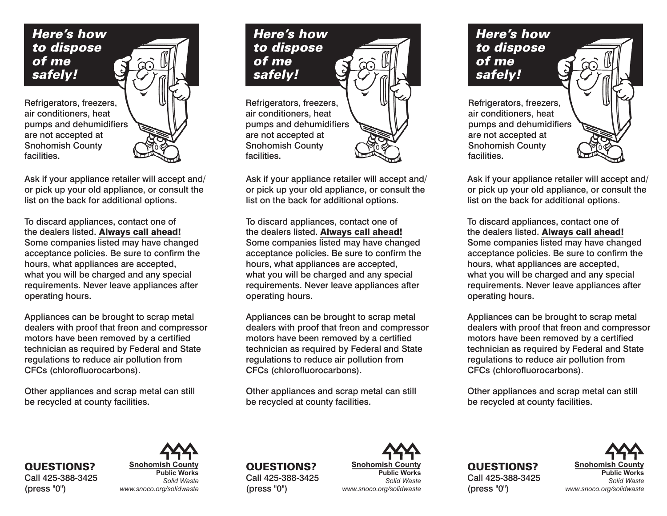

Ask if your appliance retailer will accept and/ or pick up your old appliance, or consult the list on the back for additional options.

To discard appliances, contact one of the dealers listed. Always call ahead! Some companies listed may have changed acceptance policies. Be sure to confirm the hours, what appliances are accepted, what you will be charged and any special requirements. Never leave appliances after operating hours.

Appliances can be brought to scrap metal dealers with proof that freon and compressor motors have been removed by a certified technician as required by Federal and State regulations to reduce air pollution from CFCs (chlorofluorocarbons).

Other appliances and scrap metal can still be recycled at county facilities.

QUESTIONS? Call 425-388-3425 (press "0")